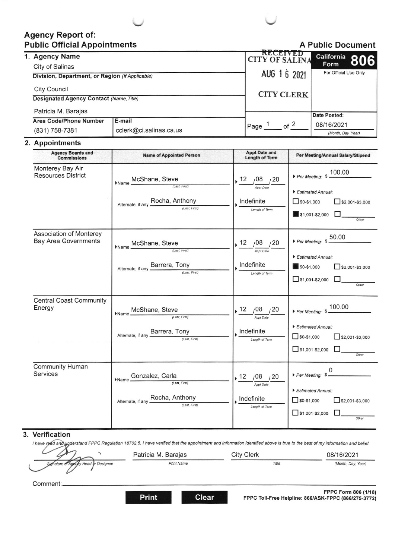# **Agency Report of: Public Official Appointments**



|  | 1. Agency Name<br>City of Salinas               |                         | <b>RECEIVED</b><br><b>CITY OF SALINA</b> | California 806<br>Form |  |
|--|-------------------------------------------------|-------------------------|------------------------------------------|------------------------|--|
|  |                                                 |                         | AUG 1 6 2021                             | For Official Use Only  |  |
|  | Division, Department, or Region (If Applicable) |                         |                                          |                        |  |
|  | City Council                                    |                         |                                          |                        |  |
|  | <b>Designated Agency Contact (Name, Title)</b>  |                         | <b>CITY CLERK</b>                        |                        |  |
|  | Patricia M. Barajas                             |                         |                                          |                        |  |
|  | Area Code/Phone Number                          | E-mail                  |                                          | Date Posted:           |  |
|  |                                                 |                         | of $2$<br>Page                           | 08/16/2021             |  |
|  |                                                 |                         |                                          |                        |  |
|  | (831) 758-7381                                  | cclerk@ci.salinas.ca.us |                                          | (Month, Day, Year)     |  |

#### 2. Appointments

| <b>Agency Boards and</b><br><b>Commissions</b>         | <b>Name of Appointed Person</b>                                                               | <b>Appt Date and</b><br><b>Length of Term</b>                         | Per Meeting/Annual Salary/Stipend                                                                                       |
|--------------------------------------------------------|-----------------------------------------------------------------------------------------------|-----------------------------------------------------------------------|-------------------------------------------------------------------------------------------------------------------------|
| Monterey Bay Air<br><b>Resources District</b>          | McShane, Steve<br>Name<br>(Last, First)<br>Alternate, if any <b>Rocha, Anthony</b>            | 12, 08, 20<br>Appt Date<br>Indefinite<br>Length of Term               | Per Meeting: \$ 100.00<br>Estimated Annual:<br>$50-$1,000$<br>$32,001 - $3,000$<br>\$1,001-\$2,000<br>Other             |
| Association of Monterey<br><b>Bay Area Governments</b> | McShane, Steve<br>Name<br>(Last, First)<br>Alternate, if any Barrera, Tony<br>(Last, First)   | .12<br>,08 ,20<br><b>Appt Date</b><br>Indefinite<br>Length of Term    | Per Meeting: $$50.00$<br>Estimated Annual:<br>$\blacksquare$ \$0-\$1,000<br>$52,001-$3,000$<br>$51,001-$2,000$<br>Other |
| <b>Central Coast Community</b><br>Energy               | McShane, Steve<br>(Last, First)<br>Alternate, if any <b>Barrera</b> , Tony<br>(Last, First)   | 12 / 08 / 20<br><b>Appt Date</b><br>Indefinite<br>Length of Term      | Per Meeting: $$100.00$<br>Estimated Annual:<br>$50-$1,000$<br>$\Box$ \$2,001-\$3,000<br>$51,001-$2,000$<br>Other        |
| <b>Community Human</b><br><b>Services</b>              | Gonzalez, Carla<br>Name<br>(Last, First)<br>Alternate, if any Rocha, Anthony<br>(Last, First) | 12<br>$108$ $120$<br><b>Appt Date</b><br>Indefinite<br>Length of Term | 0<br>Per Meeting: \$<br>Estimated Annual:<br>$50-51,000$<br>$52,001 - $3,000$<br>$51,001-$2,000$<br>Other               |

#### 3. Verification

I have rood and understand FPPC Regulation 18702.5. I have verified that the appointment and information identified above is true to the best of my information and belief.

|                                            | Patricia M. Barajas | City Clerk | 08/16/2021         |
|--------------------------------------------|---------------------|------------|--------------------|
| of Agency Head or Designee<br>Signature of | <b>Print Name</b>   | Title      | (Month, Day, Year) |

Comment:.

**Print** 

**Clear**